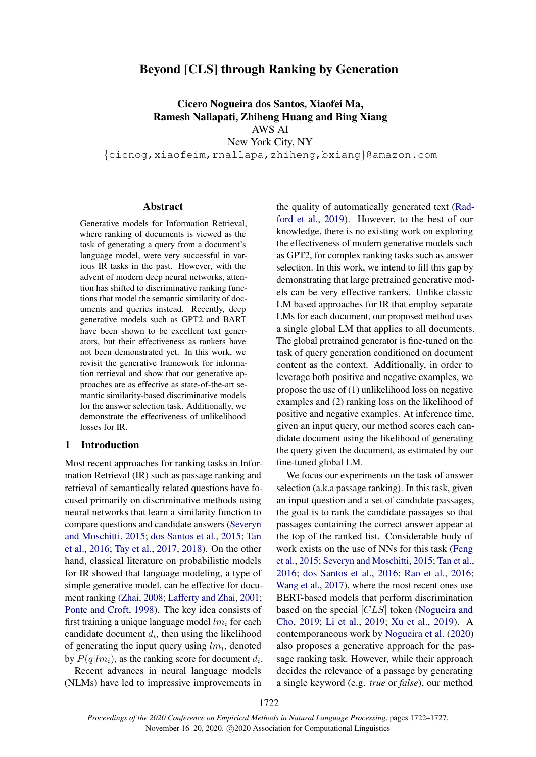# Beyond [CLS] through Ranking by Generation

Cicero Nogueira dos Santos, Xiaofei Ma, Ramesh Nallapati, Zhiheng Huang and Bing Xiang AWS AI New York City, NY

{cicnog,xiaofeim,rnallapa,zhiheng,bxiang}@amazon.com

#### Abstract

Generative models for Information Retrieval, where ranking of documents is viewed as the task of generating a query from a document's language model, were very successful in various IR tasks in the past. However, with the advent of modern deep neural networks, attention has shifted to discriminative ranking functions that model the semantic similarity of documents and queries instead. Recently, deep generative models such as GPT2 and BART have been shown to be excellent text generators, but their effectiveness as rankers have not been demonstrated yet. In this work, we revisit the generative framework for information retrieval and show that our generative approaches are as effective as state-of-the-art semantic similarity-based discriminative models for the answer selection task. Additionally, we demonstrate the effectiveness of unlikelihood losses for IR.

# 1 Introduction

Most recent approaches for ranking tasks in Information Retrieval (IR) such as passage ranking and retrieval of semantically related questions have focused primarily on discriminative methods using neural networks that learn a similarity function to compare questions and candidate answers [\(Severyn](#page-5-0) [and Moschitti,](#page-5-0) [2015;](#page-5-0) [dos Santos et al.,](#page-5-1) [2015;](#page-5-1) [Tan](#page-5-2) [et al.,](#page-5-2) [2016;](#page-5-2) [Tay et al.,](#page-5-3) [2017,](#page-5-3) [2018\)](#page-5-4). On the other hand, classical literature on probabilistic models for IR showed that language modeling, a type of simple generative model, can be effective for document ranking [\(Zhai,](#page-5-5) [2008;](#page-5-5) [Lafferty and Zhai,](#page-5-6) [2001;](#page-5-6) [Ponte and Croft,](#page-5-7) [1998\)](#page-5-7). The key idea consists of first training a unique language model  $lm_i$  for each candidate document  $d_i$ , then using the likelihood of generating the input query using  $lm_i$ , denoted by  $P(q|lm_i)$ , as the ranking score for document  $d_i$ .

Recent advances in neural language models (NLMs) have led to impressive improvements in

the quality of automatically generated text [\(Rad](#page-5-8)[ford et al.,](#page-5-8) [2019\)](#page-5-8). However, to the best of our knowledge, there is no existing work on exploring the effectiveness of modern generative models such as GPT2, for complex ranking tasks such as answer selection. In this work, we intend to fill this gap by demonstrating that large pretrained generative models can be very effective rankers. Unlike classic LM based approaches for IR that employ separate LMs for each document, our proposed method uses a single global LM that applies to all documents. The global pretrained generator is fine-tuned on the task of query generation conditioned on document content as the context. Additionally, in order to leverage both positive and negative examples, we propose the use of (1) unlikelihood loss on negative examples and (2) ranking loss on the likelihood of positive and negative examples. At inference time, given an input query, our method scores each candidate document using the likelihood of generating the query given the document, as estimated by our fine-tuned global LM.

We focus our experiments on the task of answer selection (a.k.a passage ranking). In this task, given an input question and a set of candidate passages, the goal is to rank the candidate passages so that passages containing the correct answer appear at the top of the ranked list. Considerable body of work exists on the use of NNs for this task [\(Feng](#page-5-9) [et al.,](#page-5-9) [2015;](#page-5-9) [Severyn and Moschitti,](#page-5-0) [2015;](#page-5-0) [Tan et al.,](#page-5-2) [2016;](#page-5-2) [dos Santos et al.,](#page-5-10) [2016;](#page-5-10) [Rao et al.,](#page-5-11) [2016;](#page-5-11) [Wang et al.,](#page-5-12) [2017\)](#page-5-12), where the most recent ones use BERT-based models that perform discrimination based on the special [CLS] token [\(Nogueira and](#page-5-13) [Cho,](#page-5-13) [2019;](#page-5-13) [Li et al.,](#page-5-14) [2019;](#page-5-14) [Xu et al.,](#page-5-15) [2019\)](#page-5-15). A contemporaneous work by [Nogueira et al.](#page-5-16) [\(2020\)](#page-5-16) also proposes a generative approach for the passage ranking task. However, while their approach decides the relevance of a passage by generating a single keyword (e.g. *true* or *false*), our method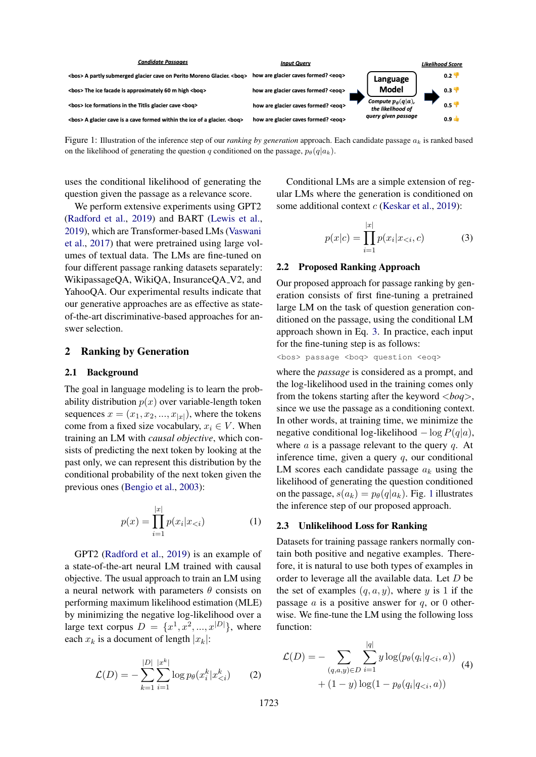<span id="page-1-1"></span>

Figure 1: Illustration of the inference step of our *ranking by generation* approach. Each candidate passage  $a_k$  is ranked based on the likelihood of generating the question q conditioned on the passage,  $p_{\theta}(q|a_k)$ .

uses the conditional likelihood of generating the question given the passage as a relevance score.

We perform extensive experiments using GPT2 [\(Radford et al.,](#page-5-8) [2019\)](#page-5-8) and BART [\(Lewis et al.,](#page-5-17) [2019\)](#page-5-17), which are Transformer-based LMs [\(Vaswani](#page-5-18) [et al.,](#page-5-18) [2017\)](#page-5-18) that were pretrained using large volumes of textual data. The LMs are fine-tuned on four different passage ranking datasets separately: WikipassageQA, WikiQA, InsuranceQA\_V2, and YahooQA. Our experimental results indicate that our generative approaches are as effective as stateof-the-art discriminative-based approaches for answer selection.

# 2 Ranking by Generation

#### 2.1 Background

The goal in language modeling is to learn the probability distribution  $p(x)$  over variable-length token sequences  $x = (x_1, x_2, ..., x_{|x|})$ , where the tokens come from a fixed size vocabulary,  $x_i \in V$ . When training an LM with *causal objective*, which consists of predicting the next token by looking at the past only, we can represent this distribution by the conditional probability of the next token given the previous ones [\(Bengio et al.,](#page-4-0) [2003\)](#page-4-0):

$$
p(x) = \prod_{i=1}^{|x|} p(x_i | x_{< i}) \tag{1}
$$

GPT2 [\(Radford et al.,](#page-5-8) [2019\)](#page-5-8) is an example of a state-of-the-art neural LM trained with causal objective. The usual approach to train an LM using a neural network with parameters  $\theta$  consists on performing maximum likelihood estimation (MLE) by minimizing the negative log-likelihood over a large text corpus  $D = \{x^1, x^2, ..., x^{|D|}\},\$  where each  $x_k$  is a document of length  $|x_k|$ :

$$
\mathcal{L}(D) = -\sum_{k=1}^{|D|} \sum_{i=1}^{|x^k|} \log p_{\theta}(x_i^k | x_{ (2)
$$

Conditional LMs are a simple extension of regular LMs where the generation is conditioned on some additional context  $c$  [\(Keskar et al.,](#page-5-19) [2019\)](#page-5-19):

<span id="page-1-0"></span>
$$
p(x|c) = \prod_{i=1}^{|x|} p(x_i|x_{
$$

#### 2.2 Proposed Ranking Approach

Our proposed approach for passage ranking by generation consists of first fine-tuning a pretrained large LM on the task of question generation conditioned on the passage, using the conditional LM approach shown in Eq. [3.](#page-1-0) In practice, each input for the fine-tuning step is as follows:

<bos> passage <boq> question <eoq>

where the *passage* is considered as a prompt, and the log-likelihood used in the training comes only from the tokens starting after the keyword <*boq*>, since we use the passage as a conditioning context. In other words, at training time, we minimize the negative conditional log-likelihood  $-\log P(q|a)$ , where  $\alpha$  is a passage relevant to the query  $q$ . At inference time, given a query  $q$ , our conditional LM scores each candidate passage  $a_k$  using the likelihood of generating the question conditioned on the passage,  $s(a_k) = p_\theta(q|a_k)$ . Fig. [1](#page-1-1) illustrates the inference step of our proposed approach.

# 2.3 Unlikelihood Loss for Ranking

Datasets for training passage rankers normally contain both positive and negative examples. Therefore, it is natural to use both types of examples in order to leverage all the available data. Let D be the set of examples  $(q, a, y)$ , where y is 1 if the passage  $\alpha$  is a positive answer for  $q$ , or 0 otherwise. We fine-tune the LM using the following loss function:

<span id="page-1-3"></span><span id="page-1-2"></span>
$$
\mathcal{L}(D) = -\sum_{(q,a,y)\in D} \sum_{i=1}^{|q|} y \log(p_{\theta}(q_i|q_{
$$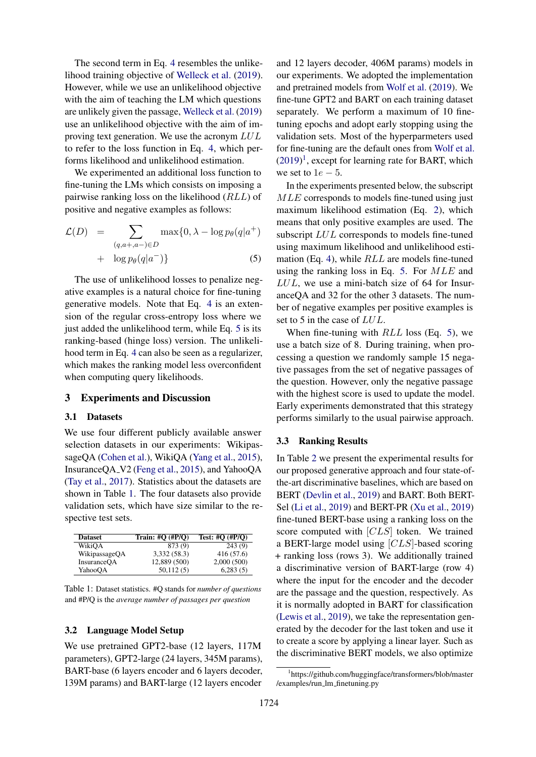The second term in Eq. [4](#page-1-2) resembles the unlikelihood training objective of [Welleck et al.](#page-5-20) [\(2019\)](#page-5-20). However, while we use an unlikelihood objective with the aim of teaching the LM which questions are unlikely given the passage, [Welleck et al.](#page-5-20) [\(2019\)](#page-5-20) use an unlikelihood objective with the aim of improving text generation. We use the acronym LUL to refer to the loss function in Eq. [4,](#page-1-2) which performs likelihood and unlikelihood estimation.

We experimented an additional loss function to fine-tuning the LMs which consists on imposing a pairwise ranking loss on the likelihood (RLL) of positive and negative examples as follows:

<span id="page-2-0"></span>
$$
\mathcal{L}(D) = \sum_{(q,a+,a-) \in D} \max\{0, \lambda - \log p_{\theta}(q|a^+) \n+ \log p_{\theta}(q|a^-)\}\n \tag{5}
$$

The use of unlikelihood losses to penalize negative examples is a natural choice for fine-tuning generative models. Note that Eq. [4](#page-1-2) is an extension of the regular cross-entropy loss where we just added the unlikelihood term, while Eq. [5](#page-2-0) is its ranking-based (hinge loss) version. The unlikelihood term in Eq. [4](#page-1-2) can also be seen as a regularizer, which makes the ranking model less overconfident when computing query likelihoods.

# 3 Experiments and Discussion

#### 3.1 Datasets

We use four different publicly available answer selection datasets in our experiments: WikipassageQA [\(Cohen et al.\)](#page-4-1), WikiQA [\(Yang et al.,](#page-5-21) [2015\)](#page-5-21), InsuranceQA V2 [\(Feng et al.,](#page-5-9) [2015\)](#page-5-9), and YahooQA [\(Tay et al.,](#page-5-3) [2017\)](#page-5-3). Statistics about the datasets are shown in Table [1.](#page-2-1) The four datasets also provide validation sets, which have size similar to the respective test sets.

<span id="page-2-1"></span>

| <b>Dataset</b>     | Train: $#Q$ $(HP/Q)$ | Test: #Q $(\text{HP}/Q)$ |
|--------------------|----------------------|--------------------------|
| WikiOA             | 873 (9)              | 243(9)                   |
| WikipassageQA      | 3,332 (58.3)         | 416 (57.6)               |
| <b>InsuranceOA</b> | 12,889 (500)         | 2,000(500)               |
| YahooQA            | 50,112(5)            | 6,283(5)                 |

| Table 1: Dataset statistics. #Q stands for <i>number of questions</i> |
|-----------------------------------------------------------------------|
| and #P/Q is the average number of passages per question               |

#### 3.2 Language Model Setup

We use pretrained GPT2-base (12 layers, 117M parameters), GPT2-large (24 layers, 345M params), BART-base (6 layers encoder and 6 layers decoder, 139M params) and BART-large (12 layers encoder

and 12 layers decoder, 406M params) models in our experiments. We adopted the implementation and pretrained models from [Wolf et al.](#page-5-22) [\(2019\)](#page-5-22). We fine-tune GPT2 and BART on each training dataset separately. We perform a maximum of 10 finetuning epochs and adopt early stopping using the validation sets. Most of the hyperparmeters used for fine-tuning are the default ones from [Wolf et al.](#page-5-22)  $(2019)^1$  $(2019)^1$  $(2019)^1$ , except for learning rate for BART, which we set to  $1e - 5$ .

In the experiments presented below, the subscript MLE corresponds to models fine-tuned using just maximum likelihood estimation (Eq. [2\)](#page-1-3), which means that only positive examples are used. The subscript LUL corresponds to models fine-tuned using maximum likelihood and unlikelihood estimation (Eq. [4\)](#page-1-2), while RLL are models fine-tuned using the ranking loss in Eq. [5.](#page-2-0) For MLE and LUL, we use a mini-batch size of 64 for InsuranceQA and 32 for the other 3 datasets. The number of negative examples per positive examples is set to 5 in the case of LUL.

When fine-tuning with  $RLL$  loss (Eq. [5\)](#page-2-0), we use a batch size of 8. During training, when processing a question we randomly sample 15 negative passages from the set of negative passages of the question. However, only the negative passage with the highest score is used to update the model. Early experiments demonstrated that this strategy performs similarly to the usual pairwise approach.

#### 3.3 Ranking Results

In Table [2](#page-3-0) we present the experimental results for our proposed generative approach and four state-ofthe-art discriminative baselines, which are based on BERT [\(Devlin et al.,](#page-5-23) [2019\)](#page-5-23) and BART. Both BERT-Sel [\(Li et al.,](#page-5-14) [2019\)](#page-5-14) and BERT-PR [\(Xu et al.,](#page-5-15) [2019\)](#page-5-15) fine-tuned BERT-base using a ranking loss on the score computed with [CLS] token. We trained a BERT-large model using [CLS]-based scoring + ranking loss (rows 3). We additionally trained a discriminative version of BART-large (row 4) where the input for the encoder and the decoder are the passage and the question, respectively. As it is normally adopted in BART for classification [\(Lewis et al.,](#page-5-17) [2019\)](#page-5-17), we take the representation generated by the decoder for the last token and use it to create a score by applying a linear layer. Such as the discriminative BERT models, we also optimize

<span id="page-2-2"></span><sup>1</sup> https://github.com/huggingface/transformers/blob/master /examples/run lm finetuning.py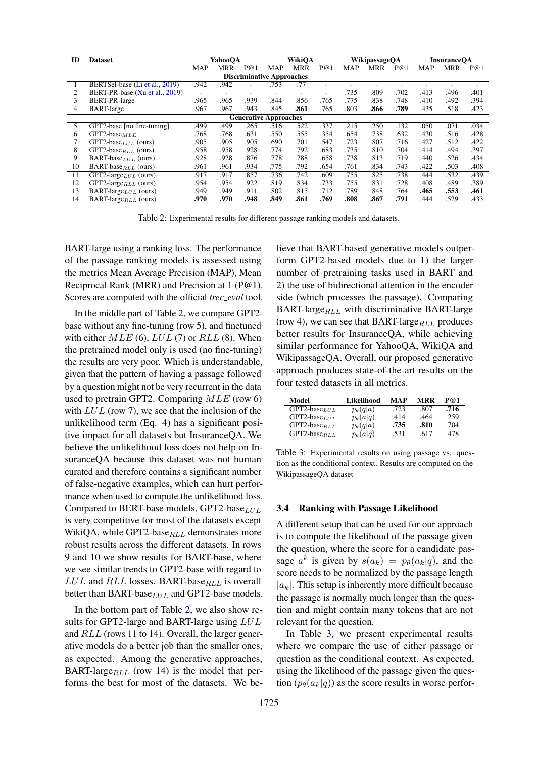<span id="page-3-0"></span>

| ID | <b>Dataset</b>                                                                            | YahooOA    |            |      | <b>WikiOA</b> |            |      | <b>WikipassageOA</b> |            |      | <b>InsuranceOA</b> |            |      |
|----|-------------------------------------------------------------------------------------------|------------|------------|------|---------------|------------|------|----------------------|------------|------|--------------------|------------|------|
|    |                                                                                           | <b>MAP</b> | <b>MRR</b> | P@1  | <b>MAP</b>    | <b>MRR</b> | P@1  | <b>MAP</b>           | <b>MRR</b> | P@1  | <b>MAP</b>         | <b>MRR</b> | P@1  |
|    |                                                                                           |            |            |      |               |            |      |                      |            |      |                    |            |      |
|    | <b>Discriminative Approaches</b><br>.942<br>BERTSel-base (Li et al., 2019)<br>.942<br>.77 |            |            |      |               |            |      |                      |            |      |                    |            |      |
|    |                                                                                           |            |            |      | .753          |            | ۰    |                      |            |      |                    |            |      |
| 2  | BERT-PR-base (Xu et al., 2019)                                                            | ٠          |            |      |               | ۰          | ٠    | .735                 | .809       | .702 | .413               | .496       | .401 |
| 3  | BERT-PR-large                                                                             | .965       | .965       | .939 | .844          | .856       | .765 | .775                 | .838       | .748 | .410               | .492       | .394 |
| 4  | <b>BART-large</b>                                                                         | .967       | .967       | .943 | .845          | .861       | .765 | .803                 | .866       | .789 | .435               | .518       | .423 |
|    | <b>Generative Approaches</b>                                                              |            |            |      |               |            |      |                      |            |      |                    |            |      |
| 5  | GPT2-base [no fine-tuning]                                                                | .499       | .499       | .265 | .516          | .522       | .337 | .215                 | .250       | .132 | .050               | .071       | .034 |
| 6  | GPT2-base $_{MLE}$                                                                        | .768       | .768       | .631 | .550          | .555       | .354 | .654                 | .738       | .632 | .430               | .516       | .428 |
|    | $\overline{\text{GPT2-base}}_{LUL}$ (ours)                                                | .905       | .905       | .905 | .690          | .701       | .547 | .723                 | .807       | .716 | .427               | .512       | .422 |
| 8  | GPT2-base $_{RLL}$ (ours)                                                                 | .958       | .958       | .928 | .774          | .792       | .683 | .735                 | .810       | .704 | .414               | .494       | .397 |
| 9  | BART-base $_{LUL}$ (ours)                                                                 | .928       | .928       | .876 | .778          | .788       | .658 | .738                 | .813       | .719 | .440               | .526       | .434 |
| 10 | BART-base $_{RLL}$ (ours)                                                                 | .961       | .961       | .934 | .775          | .792       | .654 | .761                 | .834       | .743 | .422               | .503       | .408 |
| 11 | $GPT2$ -large $_{LUL}$ (ours)                                                             | .917       | .917       | .857 | .736          | .742       | .609 | .755                 | .825       | .738 | .444               | .532       | .439 |
| 12 | GPT2-large $_{RLL}$ (ours)                                                                | .954       | .954       | .922 | .819          | .834       | .733 | .755                 | .831       | .728 | .408               | .489       | .389 |
| 13 | BART-large <sub>LUL</sub> (ours)                                                          | .949       | .949       | .911 | .802          | .815       | .712 | .789                 | .848       | .764 | .465               | .553       | .461 |
| 14 | BART-large <sub>RLL</sub> (ours)                                                          | .970       | .970       | .948 | .849          | .861       | .769 | .808                 | .867       | .791 | .444               | .529       | .433 |

Table 2: Experimental results for different passage ranking models and datasets.

BART-large using a ranking loss. The performance of the passage ranking models is assessed using the metrics Mean Average Precision (MAP), Mean Reciprocal Rank (MRR) and Precision at 1 (P@1). Scores are computed with the official *trec eval* tool.

In the middle part of Table [2,](#page-3-0) we compare GPT2 base without any fine-tuning (row 5), and finetuned with either  $MLE$  (6),  $LUL$  (7) or  $RLL$  (8). When the pretrained model only is used (no fine-tuning) the results are very poor. Which is understandable, given that the pattern of having a passage followed by a question might not be very recurrent in the data used to pretrain GPT2. Comparing MLE (row 6) with  $LUL$  (row 7), we see that the inclusion of the unlikelihood term (Eq. [4\)](#page-1-2) has a significant positive impact for all datasets but InsuranceQA. We believe the unlikelihood loss does not help on InsuranceQA because this dataset was not human curated and therefore contains a significant number of false-negative examples, which can hurt performance when used to compute the unlikelihood loss. Compared to BERT-base models, GPT2-base $LUL$ is very competitive for most of the datasets except WikiQA, while GPT2-base $_{RLL}$  demonstrates more robust results across the different datasets. In rows 9 and 10 we show results for BART-base, where we see similar trends to GPT2-base with regard to  $LUL$  and  $RLL$  losses. BART-base $_{RLL}$  is overall better than BART-base $_{LUL}$  and GPT2-base models.

In the bottom part of Table [2,](#page-3-0) we also show results for GPT2-large and BART-large using LUL and RLL (rows 11 to 14). Overall, the larger generative models do a better job than the smaller ones, as expected. Among the generative approaches, BART-large $_{RLL}$  (row 14) is the model that performs the best for most of the datasets. We believe that BART-based generative models outperform GPT2-based models due to 1) the larger number of pretraining tasks used in BART and 2) the use of bidirectional attention in the encoder side (which processes the passage). Comparing BART-large $_{RLL}$  with discriminative BART-large (row 4), we can see that BART-large $_{RLL}$  produces better results for InsuranceQA, while achieving similar performance for YahooQA, WikiQA and WikipassageQA. Overall, our proposed generative approach produces state-of-the-art results on the four tested datasets in all metrics.

<span id="page-3-1"></span>

| Model               | Likelihood        | МАР  | MRR  | P@1  |
|---------------------|-------------------|------|------|------|
| $GPT2-base LUL$     | $p_{\theta}(q a)$ | .723 | .807 | .716 |
| GPT2-base $_{LIII}$ | $p_{\theta}(a q)$ | .414 | .464 | .259 |
| $GPT2-base_{RLL}$   | $p_{\theta}(q a)$ | .735 | .810 | .704 |
| $GPT2-base_{RLL}$   | $p_{\theta}(a q)$ | .531 | .617 | 478  |

Table 3: Experimental results on using passage vs. question as the conditional context. Results are computed on the WikipassageQA dataset

#### 3.4 Ranking with Passage Likelihood

A different setup that can be used for our approach is to compute the likelihood of the passage given the question, where the score for a candidate passage  $a^k$  is given by  $s(a_k) = p_\theta(a_k|q)$ , and the score needs to be normalized by the passage length  $|a_k|$ . This setup is inherently more difficult because the passage is normally much longer than the question and might contain many tokens that are not relevant for the question.

In Table [3,](#page-3-1) we present experimental results where we compare the use of either passage or question as the conditional context. As expected, using the likelihood of the passage given the question  $(p_{\theta}(a_k|q))$  as the score results in worse perfor-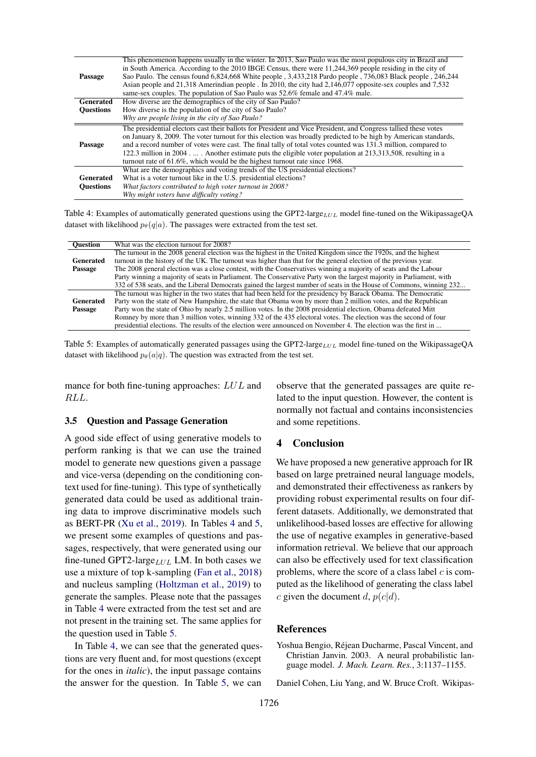<span id="page-4-2"></span>

|                  | This phenomenon happens usually in the winter. In 2013, Sao Paulo was the most populous city in Brazil and<br>in South America. According to the 2010 IBGE Census, there were 11,244,369 people residing in the city of |
|------------------|-------------------------------------------------------------------------------------------------------------------------------------------------------------------------------------------------------------------------|
| Passage          | Sao Paulo. The census found 6,824,668 White people, 3,433,218 Pardo people, 736,083 Black people, 246,244                                                                                                               |
|                  | Asian people and 21,318 Amerindian people . In 2010, the city had 2,146,077 opposite-sex couples and 7,532                                                                                                              |
|                  | same-sex couples. The population of Sao Paulo was 52.6% female and 47.4% male.                                                                                                                                          |
| <b>Generated</b> | How diverse are the demographics of the city of Sao Paulo?                                                                                                                                                              |
| <b>Ouestions</b> | How diverse is the population of the city of Sao Paulo?                                                                                                                                                                 |
|                  | Why are people living in the city of Sao Paulo?                                                                                                                                                                         |
|                  | The presidential electors cast their ballots for President and Vice President, and Congress tallied these votes                                                                                                         |
|                  | on January 8, 2009. The voter turnout for this election was broadly predicted to be high by American standards,                                                                                                         |
| Passage          | and a record number of votes were cast. The final tally of total votes counted was 131.3 million, compared to                                                                                                           |
|                  | 122.3 million in 2004.  Another estimate puts the eligible voter population at 213,313,508, resulting in a                                                                                                              |
|                  | turnout rate of 61.6%, which would be the highest turnout rate since 1968.                                                                                                                                              |
|                  | What are the demographics and voting trends of the US presidential elections?                                                                                                                                           |
| <b>Generated</b> | What is a voter turnout like in the U.S. presidential elections?                                                                                                                                                        |
| <b>Ouestions</b> | What factors contributed to high voter turnout in 2008?                                                                                                                                                                 |
|                  | Why might voters have difficulty voting?                                                                                                                                                                                |

Table 4: Examples of automatically generated questions using the GPT2-large<sub>LUL</sub> model fine-tuned on the WikipassageQA dataset with likelihood  $p_{\theta}(q|a)$ . The passages were extracted from the test set.

<span id="page-4-3"></span>

| <b>Ouestion</b>  | What was the election turnout for 2008?                                                                              |
|------------------|----------------------------------------------------------------------------------------------------------------------|
|                  | The turnout in the 2008 general election was the highest in the United Kingdom since the 1920s, and the highest      |
| <b>Generated</b> | turnout in the history of the UK. The turnout was higher than that for the general election of the previous year.    |
| Passage          | The 2008 general election was a close contest, with the Conservatives winning a majority of seats and the Labour     |
|                  | Party winning a majority of seats in Parliament. The Conservative Party won the largest majority in Parliament, with |
|                  | 332 of 538 seats, and the Liberal Democrats gained the largest number of seats in the House of Commons, winning 232  |
|                  | The turnout was higher in the two states that had been held for the presidency by Barack Obama. The Democratic       |
| <b>Generated</b> | Party won the state of New Hampshire, the state that Obama won by more than 2 million votes, and the Republican      |
| Passage          | Party won the state of Ohio by nearly 2.5 million votes. In the 2008 presidential election, Obama defeated Mitt      |
|                  | Romney by more than 3 million votes, winning 332 of the 435 electoral votes. The election was the second of four     |
|                  | presidential elections. The results of the election were announced on November 4. The election was the first in      |

Table 5: Examples of automatically generated passages using the GPT2-large $_{LUL}$  model fine-tuned on the WikipassageQA dataset with likelihood  $p_{\theta}(a|q)$ . The question was extracted from the test set.

mance for both fine-tuning approaches: LUL and RLL.

#### 3.5 Question and Passage Generation

A good side effect of using generative models to perform ranking is that we can use the trained model to generate new questions given a passage and vice-versa (depending on the conditioning context used for fine-tuning). This type of synthetically generated data could be used as additional training data to improve discriminative models such as BERT-PR [\(Xu et al.,](#page-5-15) [2019\)](#page-5-15). In Tables [4](#page-4-2) and [5,](#page-4-3) we present some examples of questions and passages, respectively, that were generated using our fine-tuned GPT2-large $LUL$  LM. In both cases we use a mixture of top k-sampling [\(Fan et al.,](#page-5-24) [2018\)](#page-5-24) and nucleus sampling [\(Holtzman et al.,](#page-5-25) [2019\)](#page-5-25) to generate the samples. Please note that the passages in Table [4](#page-4-2) were extracted from the test set and are not present in the training set. The same applies for the question used in Table [5.](#page-4-3)

In Table [4,](#page-4-2) we can see that the generated questions are very fluent and, for most questions (except for the ones in *italic*), the input passage contains the answer for the question. In Table [5,](#page-4-3) we can

observe that the generated passages are quite related to the input question. However, the content is normally not factual and contains inconsistencies and some repetitions.

## 4 Conclusion

We have proposed a new generative approach for IR based on large pretrained neural language models, and demonstrated their effectiveness as rankers by providing robust experimental results on four different datasets. Additionally, we demonstrated that unlikelihood-based losses are effective for allowing the use of negative examples in generative-based information retrieval. We believe that our approach can also be effectively used for text classification problems, where the score of a class label  $c$  is computed as the likelihood of generating the class label c given the document d,  $p(c|d)$ .

#### References

<span id="page-4-0"></span>Yoshua Bengio, Rejean Ducharme, Pascal Vincent, and ´ Christian Janvin. 2003. A neural probabilistic language model. *J. Mach. Learn. Res.*, 3:1137–1155.

<span id="page-4-1"></span>Daniel Cohen, Liu Yang, and W. Bruce Croft. Wikipas-